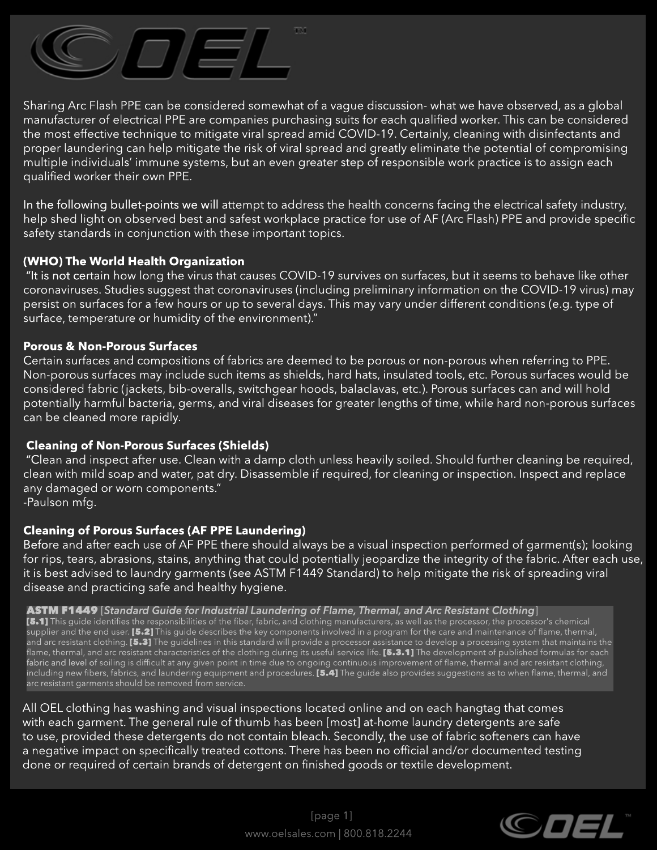

Sharing Arc Flash PPE can be considered somewhat of a vague discussion-what we have observed, as a global manufacturer of electrical PPE are companies purchasing suits for each qualified worker. This can be considered the most effective technique to mitigate viral spread amid COVID-19. Certainly, cleaning with disinfectants and proper laundering can help mitigate the risk of viral spread and greatly eliminate the potential of compromising multiple individuals' immune systems, but an even greater step of responsible work practice is to assign each qualified worker their own PPE.

In the following bullet-points we will attempt to address the health concerns facing the electrical safety industry, help shed light on observed best and safest workplace practice for use of AF (Arc Flash) PPE and provide specific safety standards in conjunction with these important topics.

# **(WHO) The World Health Organization**

"It is not certain how long the virus that causes COVID-19 survives on surfaces, but it seems to behave like other coronaviruses. Studies suggest that coronaviruses (including preliminary information on the COVID-19 virus) may persist on surfaces for a few hours or up to several days. This may vary under different conditions (e.g. type of surface, temperature or humidity of the environment)."

### **Porous & Non-Porous Surfaces**

Certain surfaces and compositions of fabrics are deemed to be porous or non-porous when referring to PPE. Non-porous surfaces may include such items as shields, hard hats, insulated tools, etc. Porous surfaces would be considered fabric (jackets, bib-overalls, switchgear hoods, balaclavas, etc.). Porous surfaces can and will hold potentially harmful bacteria, germs, and viral diseases for greater lengths of time, while hard non-porous surfaces can be cleaned more rapidly.

## **Cleaning of Non-Porous Surfaces (Shields)**

"Clean and inspect after use. Clean with a damp cloth unless heavily soiled. Should further cleaning be required, clean with mild soap and water, pat dry. Disassemble if required, for cleaning or inspection. Inspect and replace any damaged or worn components."

-Paulson mfg.

## **Cleaning of Porous Surfaces (AF PPE Laundering)**

Before and after each use of AF PPE there should always be a visual inspection performed of garment(s); looking for rips, tears, abrasions, stains, anything that could potentially jeopardize the integrity of the fabric. After each use, it is best advised to laundry garments (see ASTM F1449 Standard) to help mitigate the risk of spreading viral disease and practicing safe and healthy hygiene.

#### **ASTM F1449** [Standard Guide for Industrial Laundering of Flame, Thermal, and Arc Resistant Clothing]

[5.1] This quide identifies the responsibilities of the fiber, fabric, and clothing manufacturers, as well as the processor, the processor's chemical supplier and the end user. [5.2] This guide describes the key components involved in a program for the care and maintenance of flame, thermal, and arc resistant clothing. [5.3] The guidelines in this standard will provide a processor assistance to develop a processing system that maintains the flame, thermal, and arc resistant characteristics of the clothing during its useful service life. [5.3.1] The development of published formulas for each fabric and level of soiling is difficult at any given point in time due to ongoing continuous improvement of flame, thermal and arc resistant clothing, including new fibers, fabrics, and laundering equipment and procedures. [5.4] The guide also provides suggestions as to when flame, thermal, and arc resistant garments should be removed from service.

All OEL clothing has washing and visual inspections located online and on each hangtag that comes with each garment. The general rule of thumb has been [most] at-home laundry detergents are safe to use, provided these detergents do not contain bleach. Secondly, the use of fabric softeners can have a negative impact on specifically treated cottons. There has been no official and/or documented testing done or required of certain brands of detergent on finished goods or textile development.